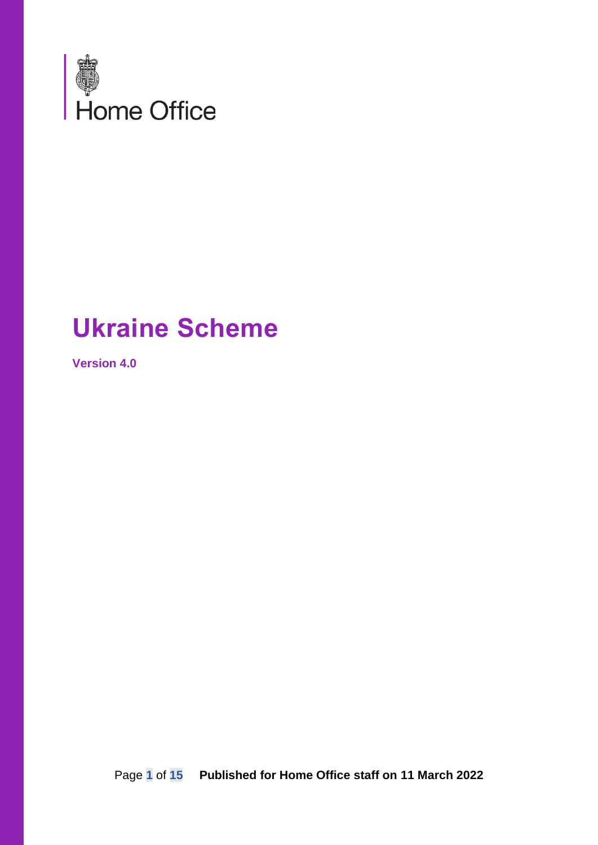

# **Ukraine Scheme**

**Version 4.0**

Page **1** of **15 Published for Home Office staff on 11 March 2022**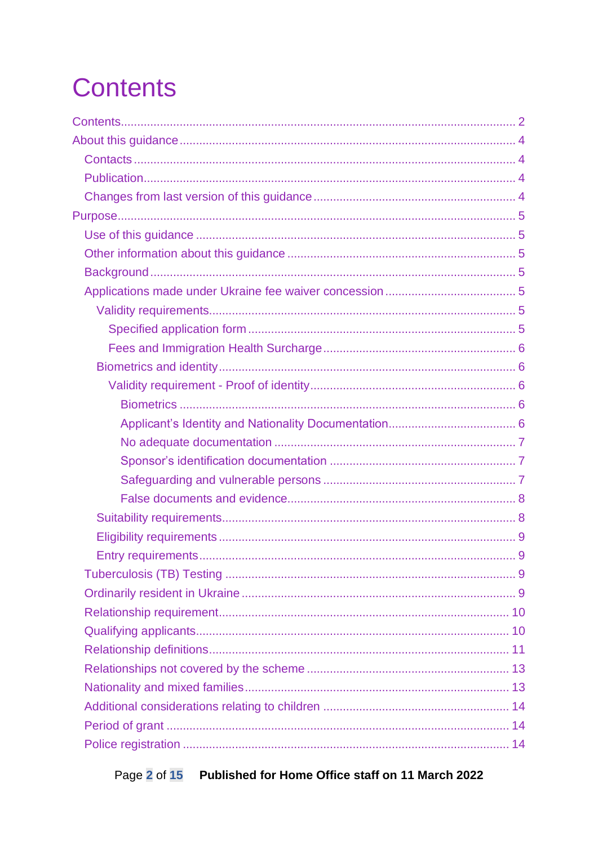# <span id="page-1-0"></span>**Contents**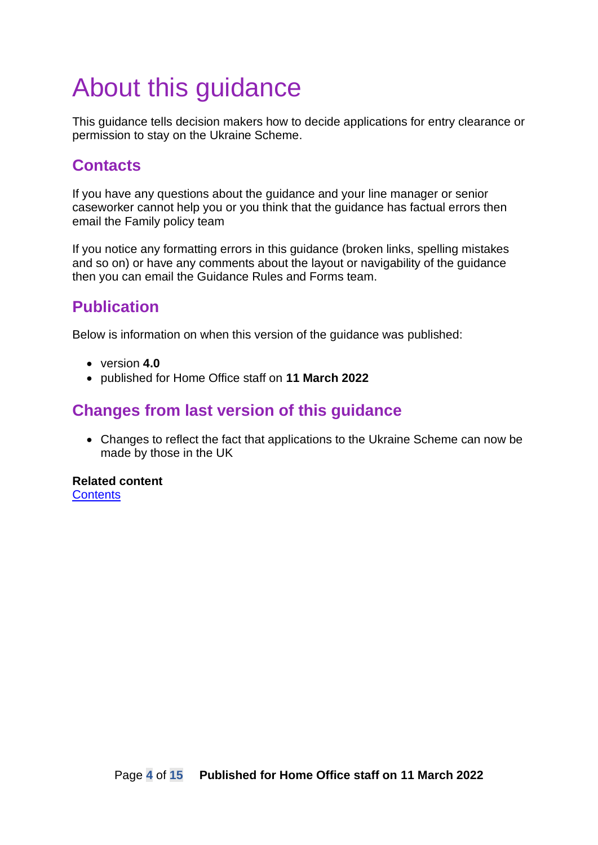# <span id="page-3-0"></span>About this guidance

This guidance tells decision makers how to decide applications for entry clearance or permission to stay on the Ukraine Scheme.

# <span id="page-3-1"></span>**Contacts**

If you have any questions about the guidance and your line manager or senior caseworker cannot help you or you think that the guidance has factual errors then email the Family policy team

If you notice any formatting errors in this guidance (broken links, spelling mistakes and so on) or have any comments about the layout or navigability of the guidance then you can email the Guidance Rules and Forms team.

# <span id="page-3-2"></span>**Publication**

Below is information on when this version of the guidance was published:

- version **4.0**
- published for Home Office staff on **11 March 2022**

# <span id="page-3-3"></span>**Changes from last version of this guidance**

• Changes to reflect the fact that applications to the Ukraine Scheme can now be made by those in the UK

**Related content Contents**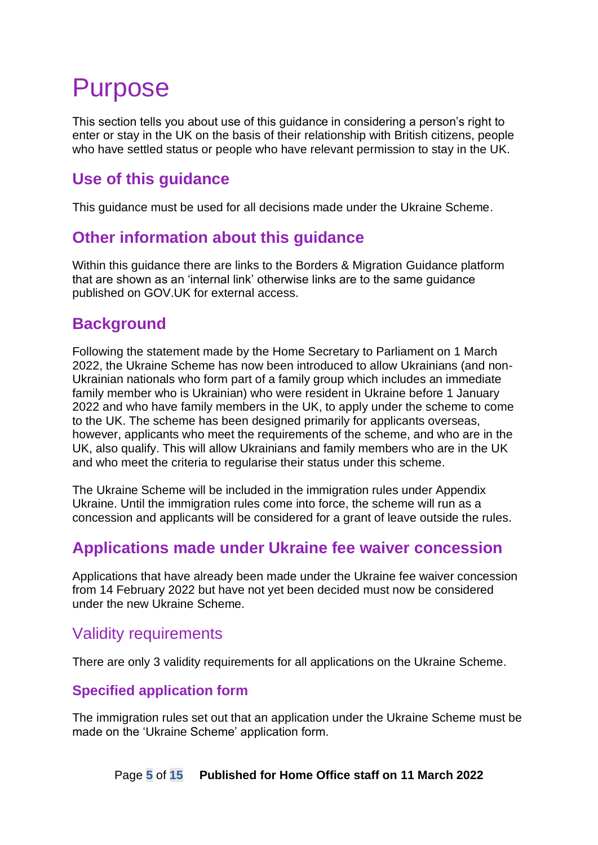# <span id="page-4-0"></span>Purpose

This section tells you about use of this guidance in considering a person's right to enter or stay in the UK on the basis of their relationship with British citizens, people who have settled status or people who have relevant permission to stay in the UK.

## <span id="page-4-1"></span>**Use of this guidance**

This guidance must be used for all decisions made under the Ukraine Scheme.

## <span id="page-4-2"></span>**Other information about this guidance**

Within this guidance there are links to the Borders & Migration Guidance platform that are shown as an 'internal link' otherwise links are to the same guidance published on GOV.UK for external access.

## <span id="page-4-3"></span>**Background**

Following the statement made by the Home Secretary to Parliament on 1 March 2022, the Ukraine Scheme has now been introduced to allow Ukrainians (and non-Ukrainian nationals who form part of a family group which includes an immediate family member who is Ukrainian) who were resident in Ukraine before 1 January 2022 and who have family members in the UK, to apply under the scheme to come to the UK. The scheme has been designed primarily for applicants overseas, however, applicants who meet the requirements of the scheme, and who are in the UK, also qualify. This will allow Ukrainians and family members who are in the UK and who meet the criteria to regularise their status under this scheme.

The Ukraine Scheme will be included in the immigration rules under Appendix Ukraine. Until the immigration rules come into force, the scheme will run as a concession and applicants will be considered for a grant of leave outside the rules.

## <span id="page-4-4"></span>**Applications made under Ukraine fee waiver concession**

Applications that have already been made under the Ukraine fee waiver concession from 14 February 2022 but have not yet been decided must now be considered under the new Ukraine Scheme.

## <span id="page-4-5"></span>Validity requirements

There are only 3 validity requirements for all applications on the Ukraine Scheme.

#### <span id="page-4-6"></span>**Specified application form**

The immigration rules set out that an application under the Ukraine Scheme must be made on the 'Ukraine Scheme' application form.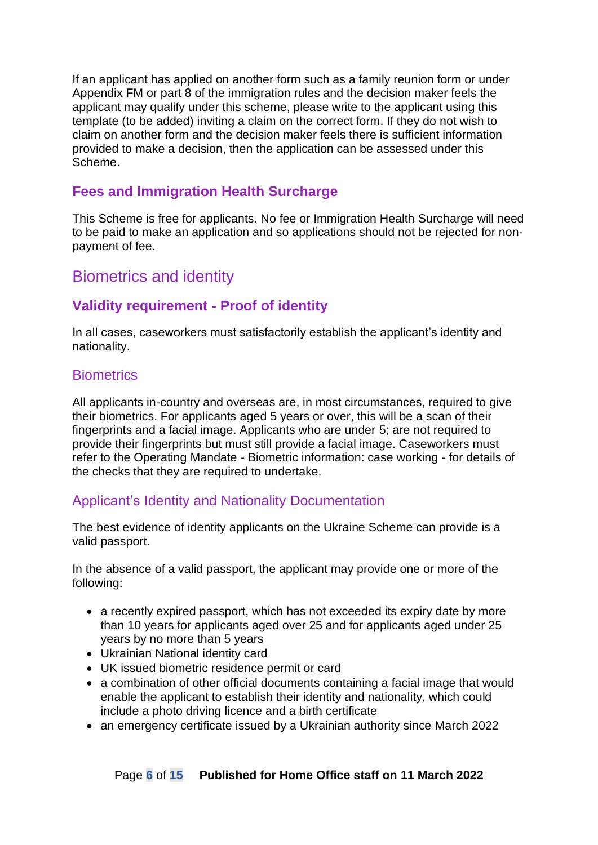If an applicant has applied on another form such as a family reunion form or under Appendix FM or part 8 of the immigration rules and the decision maker feels the applicant may qualify under this scheme, please write to the applicant using this template (to be added) inviting a claim on the correct form. If they do not wish to claim on another form and the decision maker feels there is sufficient information provided to make a decision, then the application can be assessed under this Scheme.

#### <span id="page-5-0"></span>**Fees and Immigration Health Surcharge**

This Scheme is free for applicants. No fee or Immigration Health Surcharge will need to be paid to make an application and so applications should not be rejected for nonpayment of fee.

### <span id="page-5-1"></span>Biometrics and identity

#### <span id="page-5-2"></span>**Validity requirement - Proof of identity**

In all cases, caseworkers must satisfactorily establish the applicant's identity and nationality.

#### <span id="page-5-3"></span>**Biometrics**

All applicants in-country and overseas are, in most circumstances, required to give their biometrics. For applicants aged 5 years or over, this will be a scan of their fingerprints and a facial image. Applicants who are under 5; are not required to provide their fingerprints but must still provide a facial image. Caseworkers must refer to the Operating Mandate - Biometric information: case working - for details of the checks that they are required to undertake.

#### <span id="page-5-4"></span>Applicant's Identity and Nationality Documentation

The best evidence of identity applicants on the Ukraine Scheme can provide is a valid passport.

In the absence of a valid passport, the applicant may provide one or more of the following:

- a recently expired passport, which has not exceeded its expiry date by more than 10 years for applicants aged over 25 and for applicants aged under 25 years by no more than 5 years
- Ukrainian National identity card
- UK issued biometric residence permit or card
- a combination of other official documents containing a facial image that would enable the applicant to establish their identity and nationality, which could include a photo driving licence and a birth certificate
- an emergency certificate issued by a Ukrainian authority since March 2022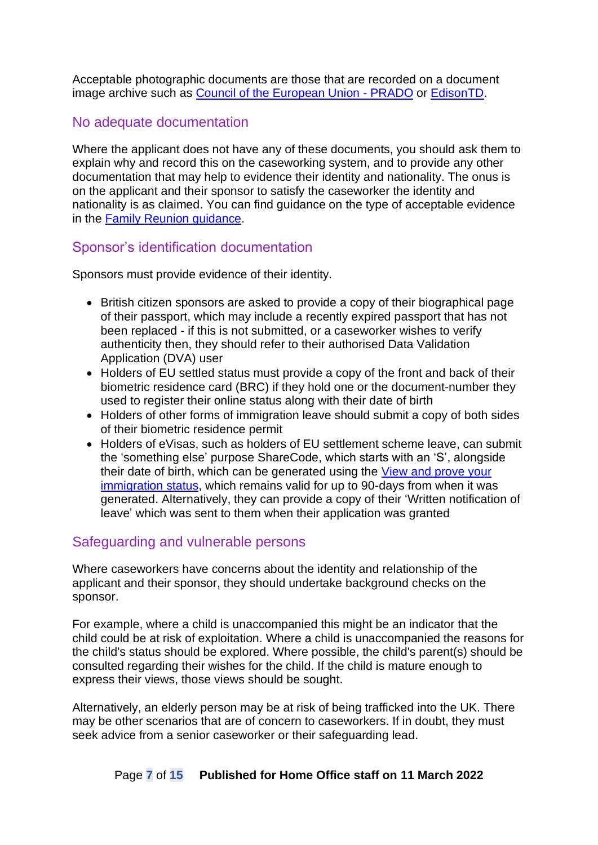Acceptable photographic documents are those that are recorded on a document image archive such as [Council of the European Union -](https://www.consilium.europa.eu/prado/en/prado-start-page.html) PRADO or [EdisonTD.](https://www.edisontd.nl/)

#### <span id="page-6-0"></span>No adequate documentation

Where the applicant does not have any of these documents, you should ask them to explain why and record this on the caseworking system, and to provide any other documentation that may help to evidence their identity and nationality. The onus is on the applicant and their sponsor to satisfy the caseworker the identity and nationality is as claimed. You can find guidance on the type of acceptable evidence in the [Family Reunion guidance.](https://www.gov.uk/government/publications/family-reunion-instruction)

#### <span id="page-6-1"></span>Sponsor's identification documentation

Sponsors must provide evidence of their identity.

- British citizen sponsors are asked to provide a copy of their biographical page of their passport, which may include a recently expired passport that has not been replaced - if this is not submitted, or a caseworker wishes to verify authenticity then, they should refer to their authorised Data Validation Application (DVA) user
- Holders of EU settled status must provide a copy of the front and back of their biometric residence card (BRC) if they hold one or the document-number they used to register their online status along with their date of birth
- Holders of other forms of immigration leave should submit a copy of both sides of their biometric residence permit
- Holders of eVisas, such as holders of EU settlement scheme leave, can submit the 'something else' purpose ShareCode, which starts with an 'S', alongside their date of birth, which can be generated using the [View and prove your](https://www.gov.uk/view-prove-immigration-status)  [immigration status,](https://www.gov.uk/view-prove-immigration-status) which remains valid for up to 90-days from when it was generated. Alternatively, they can provide a copy of their 'Written notification of leave' which was sent to them when their application was granted

#### <span id="page-6-2"></span>Safeguarding and vulnerable persons

Where caseworkers have concerns about the identity and relationship of the applicant and their sponsor, they should undertake background checks on the sponsor.

For example, where a child is unaccompanied this might be an indicator that the child could be at risk of exploitation. Where a child is unaccompanied the reasons for the child's status should be explored. Where possible, the child's parent(s) should be consulted regarding their wishes for the child. If the child is mature enough to express their views, those views should be sought.

Alternatively, an elderly person may be at risk of being trafficked into the UK. There may be other scenarios that are of concern to caseworkers. If in doubt, they must seek advice from a senior caseworker or their safeguarding lead.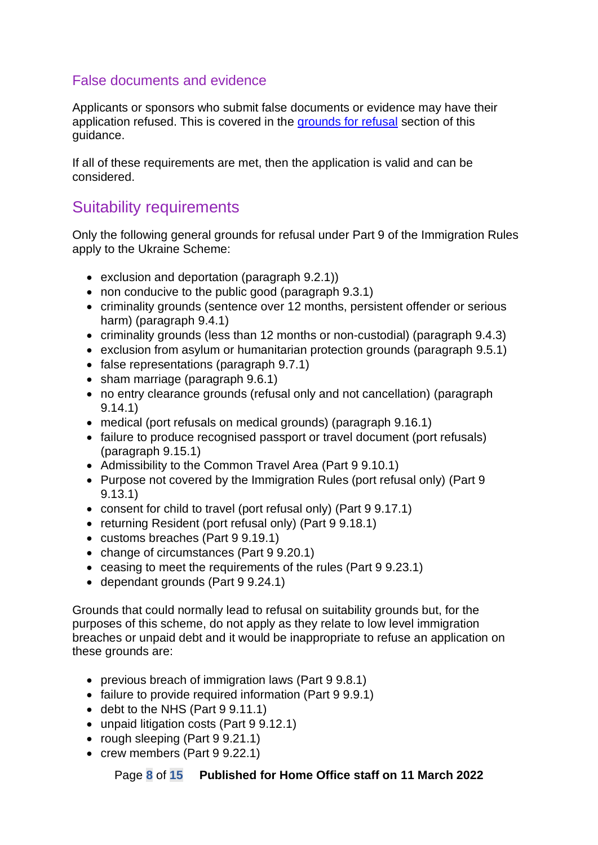#### <span id="page-7-0"></span>False documents and evidence

Applicants or sponsors who submit false documents or evidence may have their application refused. This is covered in the [grounds for refusal](#page-14-0) section of this guidance.

If all of these requirements are met, then the application is valid and can be considered.

## <span id="page-7-1"></span>Suitability requirements

Only the following general grounds for refusal under Part 9 of the Immigration Rules apply to the Ukraine Scheme:

- exclusion and deportation (paragraph 9.2.1))
- non conducive to the public good (paragraph 9.3.1)
- criminality grounds (sentence over 12 months, persistent offender or serious harm) (paragraph 9.4.1)
- criminality grounds (less than 12 months or non-custodial) (paragraph 9.4.3)
- exclusion from asylum or humanitarian protection grounds (paragraph 9.5.1)
- false representations (paragraph 9.7.1)
- sham marriage (paragraph 9.6.1)
- no entry clearance grounds (refusal only and not cancellation) (paragraph 9.14.1)
- medical (port refusals on medical grounds) (paragraph 9.16.1)
- failure to produce recognised passport or travel document (port refusals) (paragraph 9.15.1)
- Admissibility to the Common Travel Area (Part 9 9.10.1)
- Purpose not covered by the Immigration Rules (port refusal only) (Part 9 9.13.1)
- consent for child to travel (port refusal only) (Part 9 9.17.1)
- returning Resident (port refusal only) (Part 9 9.18.1)
- customs breaches (Part 9 9.19.1)
- change of circumstances (Part 9 9.20.1)
- ceasing to meet the requirements of the rules (Part 9 9.23.1)
- dependant grounds (Part 9 9.24.1)

Grounds that could normally lead to refusal on suitability grounds but, for the purposes of this scheme, do not apply as they relate to low level immigration breaches or unpaid debt and it would be inappropriate to refuse an application on these grounds are:

- previous breach of immigration laws (Part 9 9.8.1)
- failure to provide required information (Part 9 9.9.1)
- debt to the NHS (Part 9 9.11.1)
- unpaid litigation costs (Part 9 9.12.1)
- rough sleeping (Part 9 9.21.1)
- crew members (Part 9 9.22.1)

Page **8** of **15 Published for Home Office staff on 11 March 2022**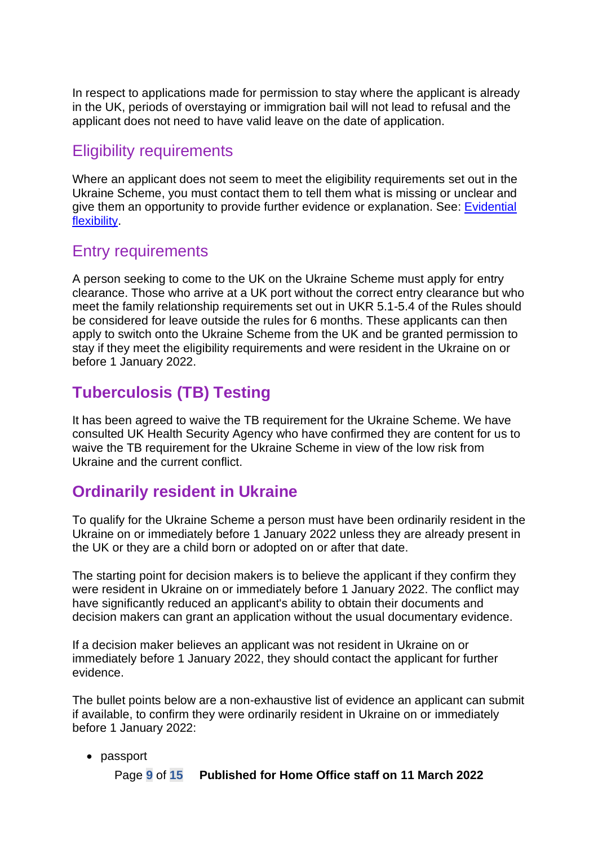In respect to applications made for permission to stay where the applicant is already in the UK, periods of overstaying or immigration bail will not lead to refusal and the applicant does not need to have valid leave on the date of application.

#### <span id="page-8-0"></span>Eligibility requirements

Where an applicant does not seem to meet the eligibility requirements set out in the Ukraine Scheme, you must contact them to tell them what is missing or unclear and give them an opportunity to provide further evidence or explanation. See: [Evidential](https://assets.publishing.service.gov.uk/government/uploads/system/uploads/attachment_data/file/952663/evidential-flexibility-v11.0ext.pdf)  [flexibility.](https://assets.publishing.service.gov.uk/government/uploads/system/uploads/attachment_data/file/952663/evidential-flexibility-v11.0ext.pdf)

#### <span id="page-8-1"></span>Entry requirements

A person seeking to come to the UK on the Ukraine Scheme must apply for entry clearance. Those who arrive at a UK port without the correct entry clearance but who meet the family relationship requirements set out in UKR 5.1-5.4 of the Rules should be considered for leave outside the rules for 6 months. These applicants can then apply to switch onto the Ukraine Scheme from the UK and be granted permission to stay if they meet the eligibility requirements and were resident in the Ukraine on or before 1 January 2022.

## <span id="page-8-2"></span>**Tuberculosis (TB) Testing**

It has been agreed to waive the TB requirement for the Ukraine Scheme. We have consulted UK Health Security Agency who have confirmed they are content for us to waive the TB requirement for the Ukraine Scheme in view of the low risk from Ukraine and the current conflict.

## <span id="page-8-3"></span>**Ordinarily resident in Ukraine**

To qualify for the Ukraine Scheme a person must have been ordinarily resident in the Ukraine on or immediately before 1 January 2022 unless they are already present in the UK or they are a child born or adopted on or after that date.

The starting point for decision makers is to believe the applicant if they confirm they were resident in Ukraine on or immediately before 1 January 2022. The conflict may have significantly reduced an applicant's ability to obtain their documents and decision makers can grant an application without the usual documentary evidence.

If a decision maker believes an applicant was not resident in Ukraine on or immediately before 1 January 2022, they should contact the applicant for further evidence.

The bullet points below are a non-exhaustive list of evidence an applicant can submit if available, to confirm they were ordinarily resident in Ukraine on or immediately before 1 January 2022:

#### • passport

Page **9** of **15 Published for Home Office staff on 11 March 2022**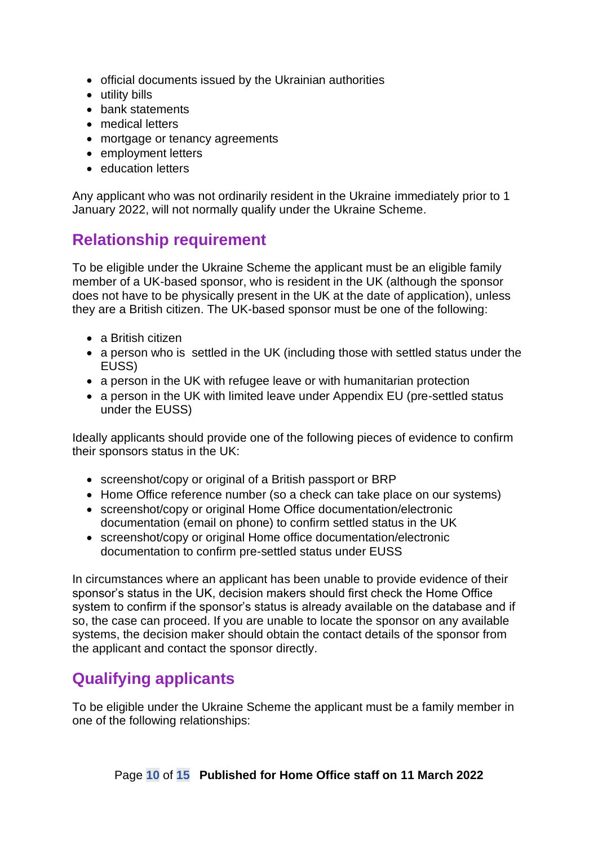- official documents issued by the Ukrainian authorities
- utility bills
- bank statements
- medical letters
- mortgage or tenancy agreements
- employment letters
- education letters

Any applicant who was not ordinarily resident in the Ukraine immediately prior to 1 January 2022, will not normally qualify under the Ukraine Scheme.

# <span id="page-9-0"></span>**Relationship requirement**

To be eligible under the Ukraine Scheme the applicant must be an eligible family member of a UK-based sponsor, who is resident in the UK (although the sponsor does not have to be physically present in the UK at the date of application), unless they are a British citizen. The UK-based sponsor must be one of the following:

- a British citizen
- a person who is settled in the UK (including those with settled status under the EUSS)
- a person in the UK with refugee leave or with humanitarian protection
- a person in the UK with limited leave under Appendix EU (pre-settled status under the EUSS)

Ideally applicants should provide one of the following pieces of evidence to confirm their sponsors status in the UK:

- screenshot/copy or original of a British passport or BRP
- Home Office reference number (so a check can take place on our systems)
- screenshot/copy or original Home Office documentation/electronic documentation (email on phone) to confirm settled status in the UK
- screenshot/copy or original Home office documentation/electronic documentation to confirm pre-settled status under EUSS

In circumstances where an applicant has been unable to provide evidence of their sponsor's status in the UK, decision makers should first check the Home Office system to confirm if the sponsor's status is already available on the database and if so, the case can proceed. If you are unable to locate the sponsor on any available systems, the decision maker should obtain the contact details of the sponsor from the applicant and contact the sponsor directly.

# <span id="page-9-1"></span>**Qualifying applicants**

To be eligible under the Ukraine Scheme the applicant must be a family member in one of the following relationships: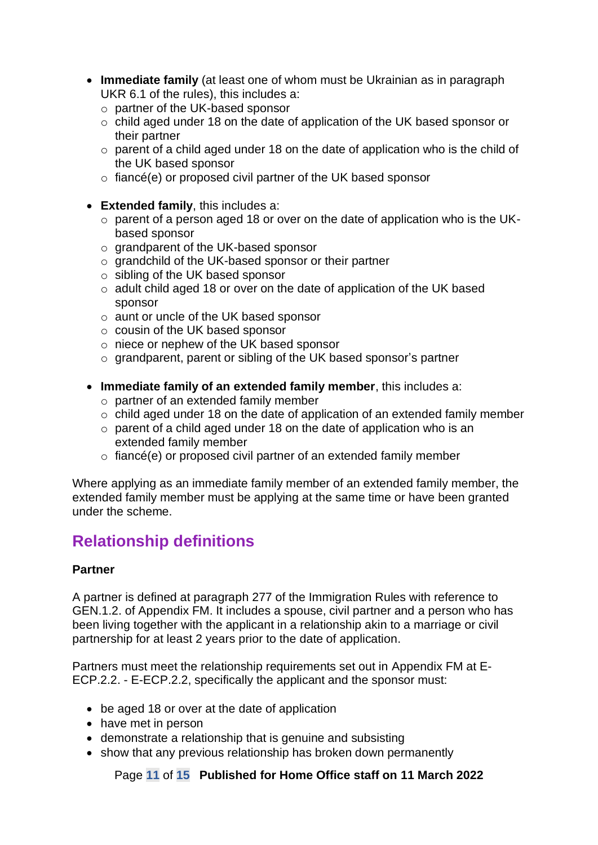- **Immediate family** (at least one of whom must be Ukrainian as in paragraph UKR 6.1 of the rules), this includes a:
	- o partner of the UK-based sponsor
	- o child aged under 18 on the date of application of the UK based sponsor or their partner
	- o parent of a child aged under 18 on the date of application who is the child of the UK based sponsor
	- o fiancé(e) or proposed civil partner of the UK based sponsor
- **Extended family**, this includes a:
	- o parent of a person aged 18 or over on the date of application who is the UKbased sponsor
	- o grandparent of the UK-based sponsor
	- o grandchild of the UK-based sponsor or their partner
	- o sibling of the UK based sponsor
	- o adult child aged 18 or over on the date of application of the UK based sponsor
	- o aunt or uncle of the UK based sponsor
	- o cousin of the UK based sponsor
	- o niece or nephew of the UK based sponsor
	- o grandparent, parent or sibling of the UK based sponsor's partner
- **Immediate family of an extended family member**, this includes a:
	- o partner of an extended family member
	- o child aged under 18 on the date of application of an extended family member
	- o parent of a child aged under 18 on the date of application who is an extended family member
	- o fiancé(e) or proposed civil partner of an extended family member

Where applying as an immediate family member of an extended family member, the extended family member must be applying at the same time or have been granted under the scheme.

# <span id="page-10-0"></span>**Relationship definitions**

#### **Partner**

A partner is defined at paragraph 277 of the Immigration Rules with reference to GEN.1.2. of Appendix FM. It includes a spouse, civil partner and a person who has been living together with the applicant in a relationship akin to a marriage or civil partnership for at least 2 years prior to the date of application.

Partners must meet the relationship requirements set out in Appendix FM at E-ECP.2.2. - E-ECP.2.2, specifically the applicant and the sponsor must:

- be aged 18 or over at the date of application
- have met in person
- demonstrate a relationship that is genuine and subsisting
- show that any previous relationship has broken down permanently

Page **11** of **15 Published for Home Office staff on 11 March 2022**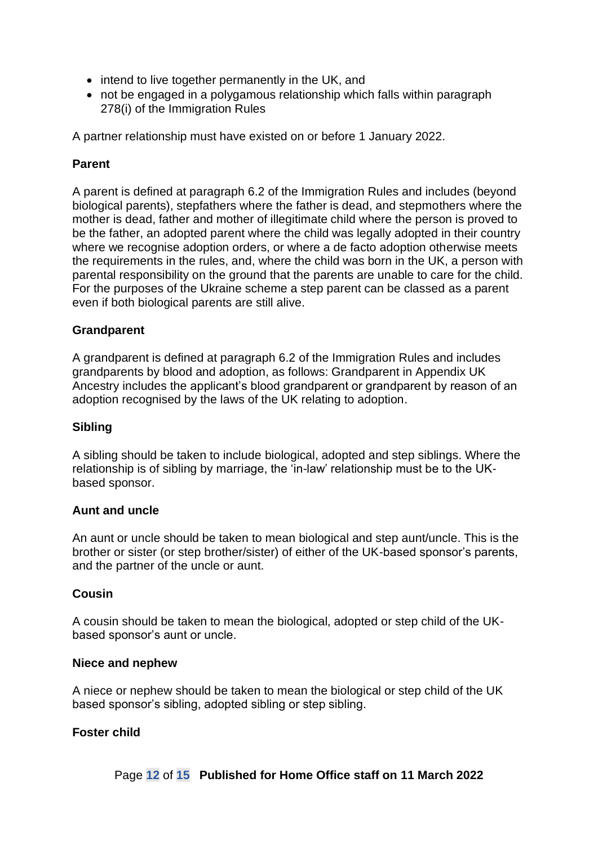- intend to live together permanently in the UK, and
- not be engaged in a polygamous relationship which falls within paragraph 278(i) of the Immigration Rules

A partner relationship must have existed on or before 1 January 2022.

#### **Parent**

A parent is defined at paragraph 6.2 of the Immigration Rules and includes (beyond biological parents), stepfathers where the father is dead, and stepmothers where the mother is dead, father and mother of illegitimate child where the person is proved to be the father, an adopted parent where the child was legally adopted in their country where we recognise adoption orders, or where a de facto adoption otherwise meets the requirements in the rules, and, where the child was born in the UK, a person with parental responsibility on the ground that the parents are unable to care for the child. For the purposes of the Ukraine scheme a step parent can be classed as a parent even if both biological parents are still alive.

#### **Grandparent**

A grandparent is defined at paragraph 6.2 of the Immigration Rules and includes grandparents by blood and adoption, as follows: Grandparent in Appendix UK Ancestry includes the applicant's blood grandparent or grandparent by reason of an adoption recognised by the laws of the UK relating to adoption.

#### **Sibling**

A sibling should be taken to include biological, adopted and step siblings. Where the relationship is of sibling by marriage, the 'in-law' relationship must be to the UKbased sponsor.

#### **Aunt and uncle**

An aunt or uncle should be taken to mean biological and step aunt/uncle. This is the brother or sister (or step brother/sister) of either of the UK-based sponsor's parents, and the partner of the uncle or aunt.

#### **Cousin**

A cousin should be taken to mean the biological, adopted or step child of the UKbased sponsor's aunt or uncle.

#### **Niece and nephew**

A niece or nephew should be taken to mean the biological or step child of the UK based sponsor's sibling, adopted sibling or step sibling.

#### **Foster child**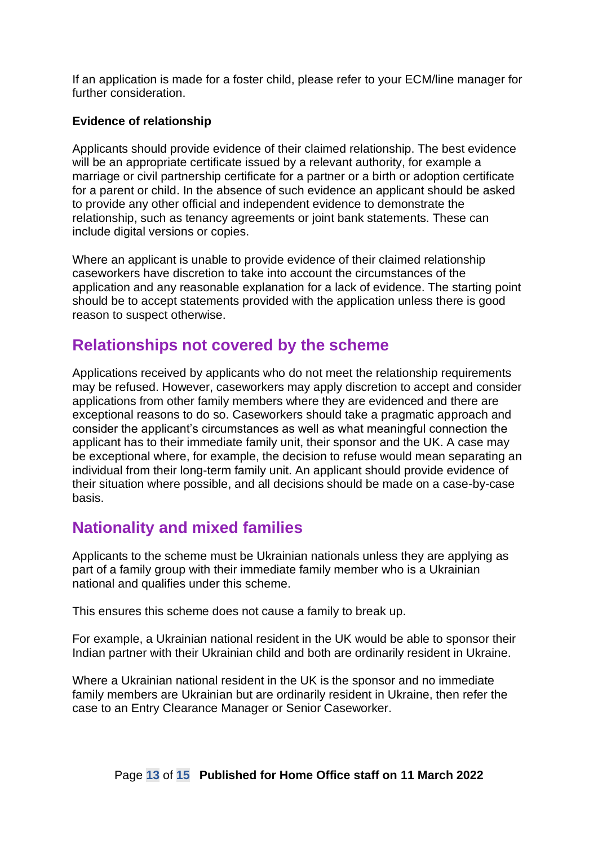If an application is made for a foster child, please refer to your ECM/line manager for further consideration.

#### **Evidence of relationship**

Applicants should provide evidence of their claimed relationship. The best evidence will be an appropriate certificate issued by a relevant authority, for example a marriage or civil partnership certificate for a partner or a birth or adoption certificate for a parent or child. In the absence of such evidence an applicant should be asked to provide any other official and independent evidence to demonstrate the relationship, such as tenancy agreements or joint bank statements. These can include digital versions or copies.

Where an applicant is unable to provide evidence of their claimed relationship caseworkers have discretion to take into account the circumstances of the application and any reasonable explanation for a lack of evidence. The starting point should be to accept statements provided with the application unless there is good reason to suspect otherwise.

### <span id="page-12-0"></span>**Relationships not covered by the scheme**

Applications received by applicants who do not meet the relationship requirements may be refused. However, caseworkers may apply discretion to accept and consider applications from other family members where they are evidenced and there are exceptional reasons to do so. Caseworkers should take a pragmatic approach and consider the applicant's circumstances as well as what meaningful connection the applicant has to their immediate family unit, their sponsor and the UK. A case may be exceptional where, for example, the decision to refuse would mean separating an individual from their long-term family unit. An applicant should provide evidence of their situation where possible, and all decisions should be made on a case-by-case basis.

## <span id="page-12-1"></span>**Nationality and mixed families**

Applicants to the scheme must be Ukrainian nationals unless they are applying as part of a family group with their immediate family member who is a Ukrainian national and qualifies under this scheme.

This ensures this scheme does not cause a family to break up.

For example, a Ukrainian national resident in the UK would be able to sponsor their Indian partner with their Ukrainian child and both are ordinarily resident in Ukraine.

Where a Ukrainian national resident in the UK is the sponsor and no immediate family members are Ukrainian but are ordinarily resident in Ukraine, then refer the case to an Entry Clearance Manager or Senior Caseworker.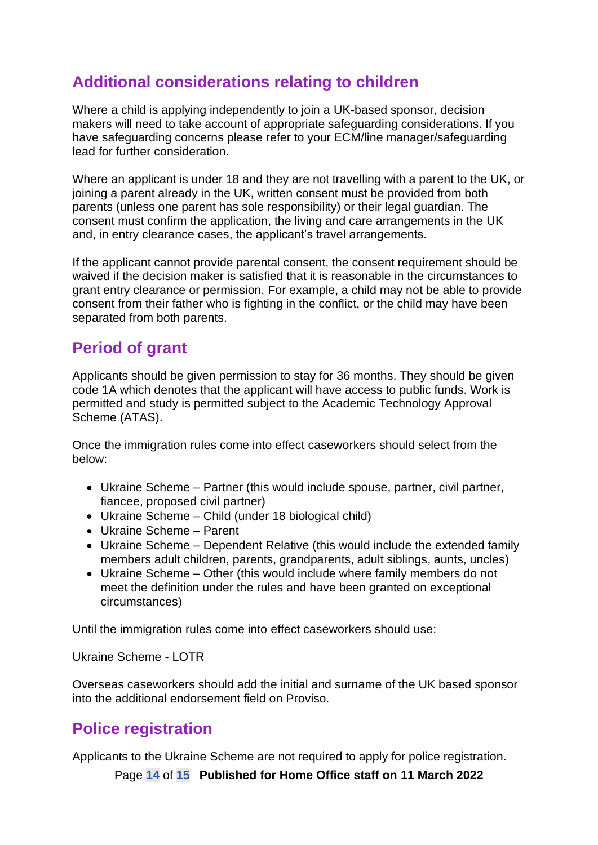# <span id="page-13-0"></span>**Additional considerations relating to children**

Where a child is applying independently to join a UK-based sponsor, decision makers will need to take account of appropriate safeguarding considerations. If you have safeguarding concerns please refer to your ECM/line manager/safeguarding lead for further consideration.

Where an applicant is under 18 and they are not travelling with a parent to the UK, or joining a parent already in the UK, written consent must be provided from both parents (unless one parent has sole responsibility) or their legal guardian. The consent must confirm the application, the living and care arrangements in the UK and, in entry clearance cases, the applicant's travel arrangements.

If the applicant cannot provide parental consent, the consent requirement should be waived if the decision maker is satisfied that it is reasonable in the circumstances to grant entry clearance or permission. For example, a child may not be able to provide consent from their father who is fighting in the conflict, or the child may have been separated from both parents.

# <span id="page-13-1"></span>**Period of grant**

Applicants should be given permission to stay for 36 months. They should be given code 1A which denotes that the applicant will have access to public funds. Work is permitted and study is permitted subject to the Academic Technology Approval Scheme (ATAS).

Once the immigration rules come into effect caseworkers should select from the below:

- Ukraine Scheme Partner (this would include spouse, partner, civil partner, fiancee, proposed civil partner)
- Ukraine Scheme Child (under 18 biological child)
- Ukraine Scheme Parent
- Ukraine Scheme Dependent Relative (this would include the extended family members adult children, parents, grandparents, adult siblings, aunts, uncles)
- Ukraine Scheme Other (this would include where family members do not meet the definition under the rules and have been granted on exceptional circumstances)

Until the immigration rules come into effect caseworkers should use:

Ukraine Scheme - LOTR

Overseas caseworkers should add the initial and surname of the UK based sponsor into the additional endorsement field on Proviso.

# <span id="page-13-2"></span>**Police registration**

Applicants to the Ukraine Scheme are not required to apply for police registration.

Page **14** of **15 Published for Home Office staff on 11 March 2022**